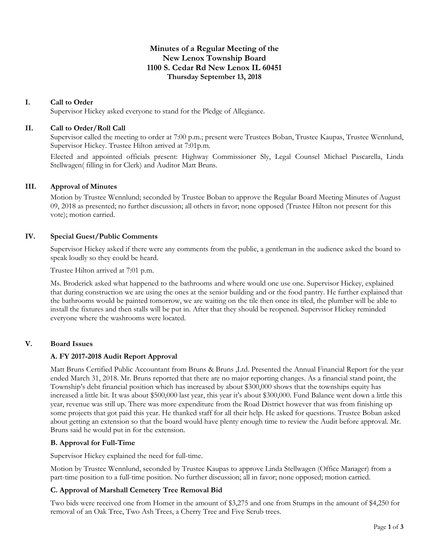# **Minutes of a Regular Meeting of the New Lenox Township Board 1100 S. Cedar Rd New Lenox IL 60451 Thursday September 13, 2018**

# **I. Call to Order**

Supervisor Hickey asked everyone to stand for the Pledge of Allegiance.

# **II. Call to Order/Roll Call**

Supervisor called the meeting to order at 7:00 p.m.; present were Trustees Boban, Trustee Kaupas, Trustee Wennlund, Supervisor Hickey. Trustee Hilton arrived at 7:01p.m.

Elected and appointed officials present: Highway Commissioner Sly, Legal Counsel Michael Pascarella, Linda Stellwagen( filling in for Clerk) and Auditor Matt Bruns.

## **III. Approval of Minutes**

Motion by Trustee Wennlund; seconded by Trustee Boban to approve the Regular Board Meeting Minutes of August 09, 2018 as presented; no further discussion; all others in favor; none opposed (Trustee Hilton not present for this vote); motion carried.

## **IV. Special Guest/Public Comments**

Supervisor Hickey asked if there were any comments from the public, a gentleman in the audience asked the board to speak loudly so they could be heard.

Trustee Hilton arrived at 7:01 p.m.

Ms. Broderick asked what happened to the bathrooms and where would one use one. Supervisor Hickey, explained that during construction we are using the ones at the senior building and or the food pantry. He further explained that the bathrooms would be painted tomorrow, we are waiting on the tile then once its tiled, the plumber will be able to install the fixtures and then stalls will be put in. After that they should be reopened. Supervisor Hickey reminded everyone where the washrooms were located.

# **V. Board Issues**

# **A. FY 2017-2018 Audit Report Approval**

Matt Bruns Certified Public Accountant from Bruns & Bruns ,Ltd. Presented the Annual Financial Report for the year ended March 31, 2018. Mr. Bruns reported that there are no major reporting changes. As a financial stand point, the Township's debt financial position which has increased by about \$300,000 shows that the townships equity has increased a little bit. It was about \$500,000 last year, this year it's about \$300,000. Fund Balance went down a little this year, revenue was still up. There was more expenditure from the Road District however that was from finishing up some projects that got paid this year. He thanked staff for all their help. He asked for questions. Trustee Boban asked about getting an extension so that the board would have plenty enough time to review the Audit before approval. Mr. Bruns said he would put in for the extension.

# **B. Approval for Full-Time**

Supervisor Hickey explained the need for full-time.

Motion by Trustee Wennlund, seconded by Trustee Kaupas to approve Linda Stellwagen (Office Manager) from a part-time position to a full-time position. No further discussion; all in favor; none opposed; motion carried.

# **C. Approval of Marshall Cemetery Tree Removal Bid**

Two bids were received one from Homer in the amount of \$3,275 and one from Stumps in the amount of \$4,250 for removal of an Oak Tree, Two Ash Trees, a Cherry Tree and Five Scrub trees.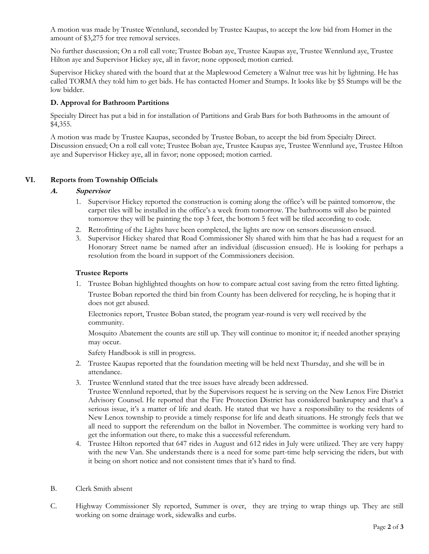A motion was made by Trustee Wennlund, seconded by Trustee Kaupas, to accept the low bid from Homer in the amount of \$3,275 for tree removal services.

No further duscussion; On a roll call vote; Trustee Boban aye, Trustee Kaupas aye, Trustee Wennlund aye, Trustee Hilton aye and Supervisor Hickey aye, all in favor; none opposed; motion carried.

Supervisor Hickey shared with the board that at the Maplewood Cemetery a Walnut tree was hit by lightning. He has called TORMA they told him to get bids. He has contacted Homer and Stumps. It looks like by \$5 Stumps will be the low bidder.

# **D. Approval for Bathroom Partitions**

Specialty Direct has put a bid in for installation of Partitions and Grab Bars for both Bathrooms in the amount of \$4,355.

A motion was made by Trustee Kaupas, seconded by Trustee Boban, to accept the bid from Specialty Direct. Discussion ensued; On a roll call vote; Trustee Boban aye, Trustee Kaupas aye, Trustee Wennlund aye, Trustee Hilton aye and Supervisor Hickey aye, all in favor; none opposed; motion carried.

# **VI. Reports from Township Officials**

## **A. Supervisor**

- 1. Supervisor Hickey reported the construction is coming along the office's will be painted tomorrow, the carpet tiles will be installed in the office's a week from tomorrow. The bathrooms will also be painted tomorrow they will be painting the top 3 feet, the bottom 5 feet will be tiled according to code.
- 2. Retrofitting of the Lights have been completed, the lights are now on sensors discussion ensued.
- 3. Supervisor Hickey shared that Road Commissioner Sly shared with him that he has had a request for an Honorary Street name be named after an individual (discussion ensued). He is looking for perhaps a resolution from the board in support of the Commissioners decision.

#### **Trustee Reports**

1. Trustee Boban highlighted thoughts on how to compare actual cost saving from the retro fitted lighting. Trustee Boban reported the third bin from County has been delivered for recycling, he is hoping that it does not get abused.

Electronics report, Trustee Boban stated, the program year-round is very well received by the community.

Mosquito Abatement the counts are still up. They will continue to monitor it; if needed another spraying may occur.

Safety Handbook is still in progress.

- 2. Trustee Kaupas reported that the foundation meeting will be held next Thursday, and she will be in attendance.
- 3. Trustee Wennlund stated that the tree issues have already been addressed.

Trustee Wennlund reported, that by the Supervisors request he is serving on the New Lenox Fire District Advisory Counsel. He reported that the Fire Protection District has considered bankruptcy and that's a serious issue, it's a matter of life and death. He stated that we have a responsibility to the residents of New Lenox township to provide a timely response for life and death situations. He strongly feels that we all need to support the referendum on the ballot in November. The committee is working very hard to get the information out there, to make this a successful referendum.

- 4. Trustee Hilton reported that 647 rides in August and 612 rides in July were utilized. They are very happy with the new Van. She understands there is a need for some part-time help servicing the riders, but with it being on short notice and not consistent times that it's hard to find.
- B. Clerk Smith absent
- C. Highway Commissioner Sly reported, Summer is over, they are trying to wrap things up. They are still working on some drainage work, sidewalks and curbs.